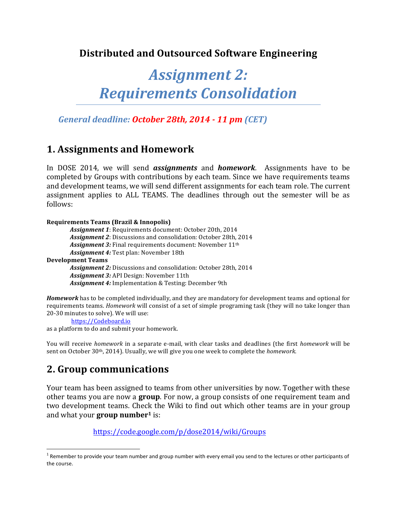## **Distributed and Outsourced Software Engineering**

# Assignment 2: *Requirements Consolidation*

*General deadline: October 28th, 2014 - 11 pm (CET)*

## **1. Assignments and Homework**

In DOSE 2014, we will send *assignments* and *homework*. Assignments have to be completed by Groups with contributions by each team. Since we have requirements teams and development teams, we will send different assignments for each team role. The current assignment applies to ALL TEAMS. The deadlines through out the semester will be as follows: 

**Requirements Teams (Brazil & Innopolis)** Assignment 1: Requirements document: October 20th. 2014 Assignment 2: Discussions and consolidation: October 28th, 2014 **Assignment 3:** Final requirements document: November 11<sup>th</sup> Assignment 4: Test plan: November 18th **Development Teams** Assignment 2: Discussions and consolidation: October 28th, 2014 Assignment 3: API Design: November 11th Assignment 4: Implementation & Testing: December 9th

*Homework* has to be completed individually, and they are mandatory for development teams and optional for requirements teams. *Homework* will consist of a set of simple programing task (they will no take longer than 20-30 minutes to solve). We will use:

https://Codeboard.io

as a platform to do and submit your homework.

You will receive *homework* in a separate e-mail, with clear tasks and deadlines (the first *homework* will be sent on October 30<sup>th</sup>, 2014). Usually, we will give you one week to complete the *homework*.

## **2. Group communications**

 $\overline{a}$ 

Your team has been assigned to teams from other universities by now. Together with these other teams you are now a **group**. For now, a group consists of one requirement team and two development teams. Check the Wiki to find out which other teams are in your group and what your **group number**<sup>1</sup> is:

https://code.google.com/p/dose2014/wiki/Groups

 $1$  Remember to provide your team number and group number with every email you send to the lectures or other participants of the course.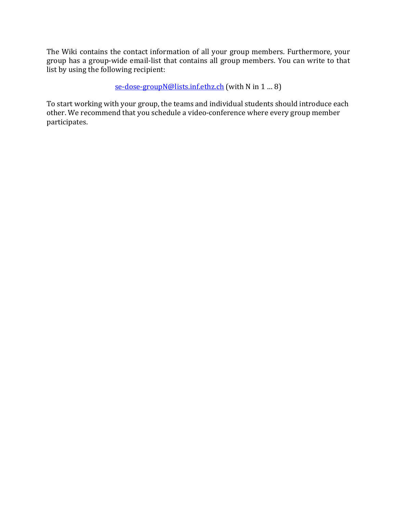The Wiki contains the contact information of all your group members. Furthermore, your group has a group-wide email-list that contains all group members. You can write to that  $\overrightarrow{a}$  list by using the following recipient:

se-dose-groupN@lists.inf.ethz.ch (with N in 1 ... 8)

To start working with your group, the teams and individual students should introduce each other. We recommend that you schedule a video-conference where every group member participates.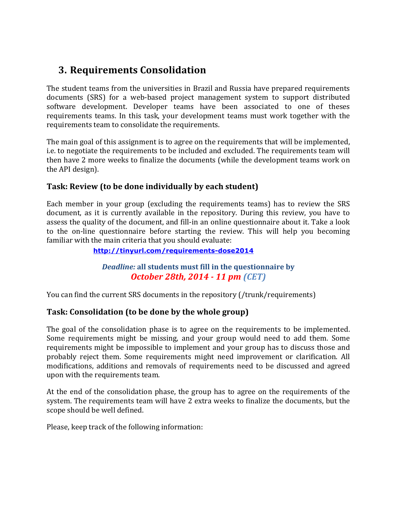## **3. Requirements Consolidation**

The student teams from the universities in Brazil and Russia have prepared requirements documents (SRS) for a web-based project management system to support distributed software development. Developer teams have been associated to one of theses requirements teams. In this task, your development teams must work together with the requirements team to consolidate the requirements.

The main goal of this assignment is to agree on the requirements that will be implemented, i.e. to negotiate the requirements to be included and excluded. The requirements team will then have 2 more weeks to finalize the documents (while the development teams work on the API design).

### **Task: Review (to be done individually by each student)**

Each member in your group (excluding the requirements teams) has to review the SRS document, as it is currently available in the repository. During this review, you have to assess the quality of the document, and fill-in an online questionnaire about it. Take a look to the on-line questionnaire before starting the review. This will help you becoming familiar with the main criteria that you should evaluate:

#### **http://tinyurl.com/requirements-dose2014**

### **Deadline:** all students must fill in the questionnaire by *October 28th, 2014 - 11 pm (CET)*

You can find the current SRS documents in the repository (/trunk/requirements)

#### **Task: Consolidation (to be done by the whole group)**

The goal of the consolidation phase is to agree on the requirements to be implemented. Some requirements might be missing, and your group would need to add them. Some requirements might be impossible to implement and your group has to discuss those and probably reject them. Some requirements might need improvement or clarification. All modifications, additions and removals of requirements need to be discussed and agreed upon with the requirements team.

At the end of the consolidation phase, the group has to agree on the requirements of the system. The requirements team will have 2 extra weeks to finalize the documents, but the scope should be well defined.

Please, keep track of the following information: